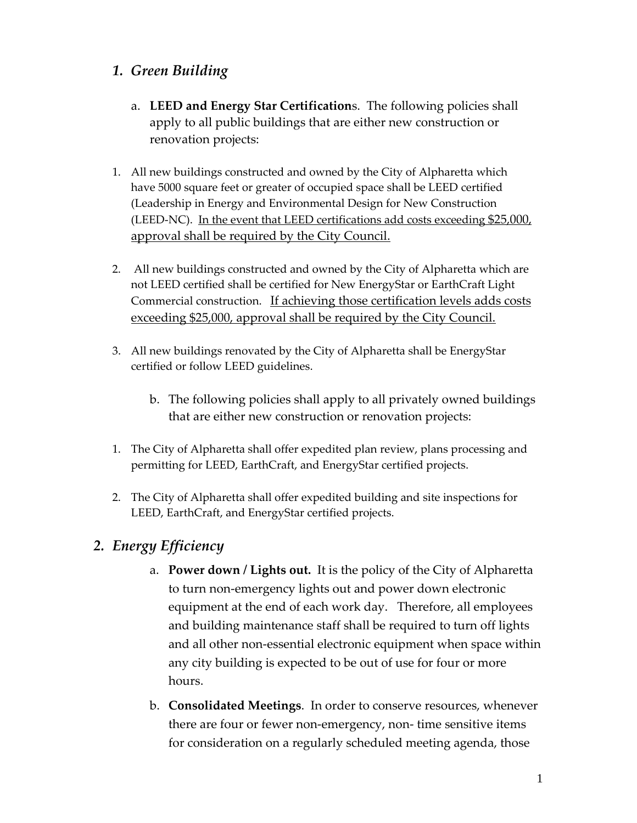# *1. Green Building*

- a. **LEED and Energy Star Certification**s. The following policies shall apply to all public buildings that are either new construction or renovation projects:
- 1. All new buildings constructed and owned by the City of Alpharetta which have 5000 square feet or greater of occupied space shall be LEED certified (Leadership in Energy and Environmental Design for New Construction (LEED-NC). In the event that LEED certifications add costs exceeding  $$25,000$ , approval shall be required by the City Council.
- 2. All new buildings constructed and owned by the City of Alpharetta which are not LEED certified shall be certified for New EnergyStar or EarthCraft Light Commercial construction. If achieving those certification levels adds costs exceeding \$25,000, approval shall be required by the City Council.
- 3. All new buildings renovated by the City of Alpharetta shall be EnergyStar certified or follow LEED guidelines.
	- b. The following policies shall apply to all privately owned buildings that are either new construction or renovation projects:
- 1. The City of Alpharetta shall offer expedited plan review, plans processing and permitting for LEED, EarthCraft, and EnergyStar certified projects.
- 2. The City of Alpharetta shall offer expedited building and site inspections for LEED, EarthCraft, and EnergyStar certified projects.

# *2. Energy Efficiency*

- a. **Power down / Lights out.** It is the policy of the City of Alpharetta to turn non‐emergency lights out and power down electronic equipment at the end of each work day. Therefore, all employees and building maintenance staff shall be required to turn off lights and all other non‐essential electronic equipment when space within any city building is expected to be out of use for four or more hours.
- b. **Consolidated Meetings**. In order to conserve resources, whenever there are four or fewer non‐emergency, non‐ time sensitive items for consideration on a regularly scheduled meeting agenda, those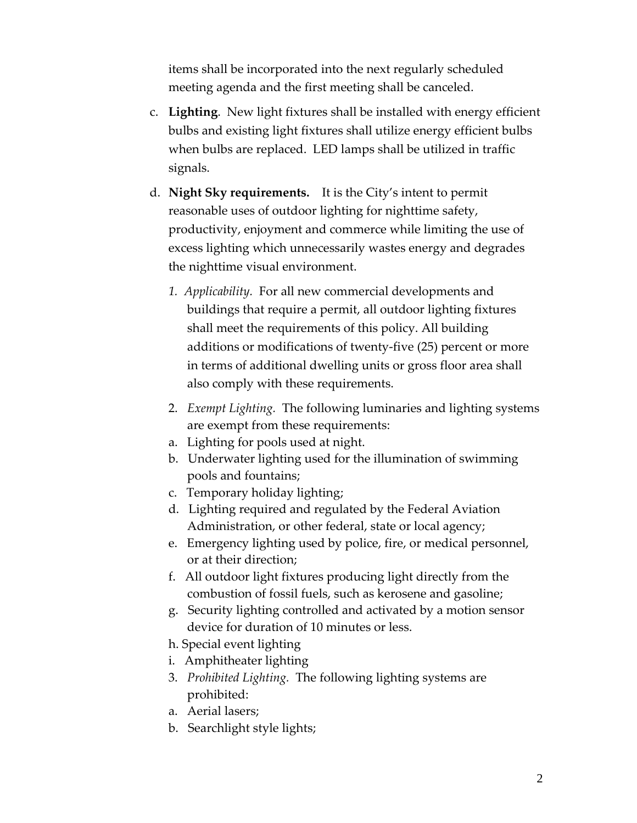items shall be incorporated into the next regularly scheduled meeting agenda and the first meeting shall be canceled.

- c. **Lighting**. New light fixtures shall be installed with energy efficient bulbs and existing light fixtures shall utilize energy efficient bulbs when bulbs are replaced. LED lamps shall be utilized in traffic signals.
- d. **Night Sky requirements.** It is the City's intent to permit reasonable uses of outdoor lighting for nighttime safety, productivity, enjoyment and commerce while limiting the use of excess lighting which unnecessarily wastes energy and degrades the nighttime visual environment.
	- *1. Applicability.* For all new commercial developments and buildings that require a permit, all outdoor lighting fixtures shall meet the requirements of this policy. All building additions or modifications of twenty‐five (25) percent or more in terms of additional dwelling units or gross floor area shall also comply with these requirements.
	- 2. *Exempt Lighting.* The following luminaries and lighting systems are exempt from these requirements:
	- a. Lighting for pools used at night.
	- b. Underwater lighting used for the illumination of swimming pools and fountains;
	- c. Temporary holiday lighting;
	- d. Lighting required and regulated by the Federal Aviation Administration, or other federal, state or local agency;
	- e. Emergency lighting used by police, fire, or medical personnel, or at their direction;
	- f. All outdoor light fixtures producing light directly from the combustion of fossil fuels, such as kerosene and gasoline;
	- g. Security lighting controlled and activated by a motion sensor device for duration of 10 minutes or less.
	- h. Special event lighting
	- i. Amphitheater lighting
	- 3. *Prohibited Lighting.* The following lighting systems are prohibited:
	- a. Aerial lasers;
	- b. Searchlight style lights;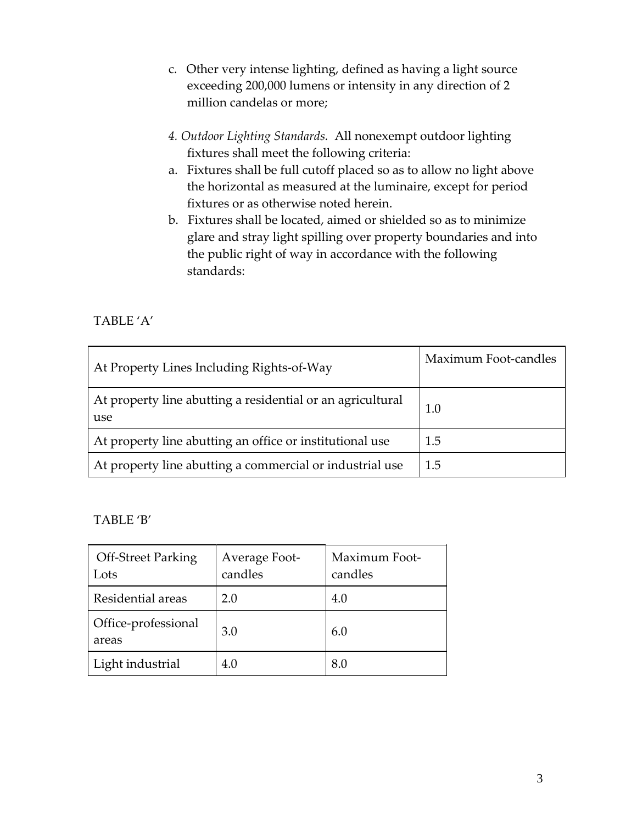- c. Other very intense lighting, defined as having a light source exceeding 200,000 lumens or intensity in any direction of 2 million candelas or more;
- *4. Outdoor Lighting Standards.* All nonexempt outdoor lighting fixtures shall meet the following criteria:
- a. Fixtures shall be full cutoff placed so as to allow no light above the horizontal as measured at the luminaire, except for period fixtures or as otherwise noted herein.
- b. Fixtures shall be located, aimed or shielded so as to minimize glare and stray light spilling over property boundaries and into the public right of way in accordance with the following standards:

## TABLE 'A'

| At Property Lines Including Rights-of-Way                         | Maximum Foot-candles |
|-------------------------------------------------------------------|----------------------|
| At property line abutting a residential or an agricultural<br>use | 1.0                  |
| At property line abutting an office or institutional use          | 1.5                  |
| At property line abutting a commercial or industrial use          | 1.5                  |

#### TABLE 'B'

| <b>Off-Street Parking</b><br>Lots | Average Foot-<br>candles | Maximum Foot-<br>candles |
|-----------------------------------|--------------------------|--------------------------|
| Residential areas                 | 2.0                      | 4.0                      |
| Office-professional<br>areas      | 3.0                      | 6.0                      |
| Light industrial                  | 4.0                      | 8.0                      |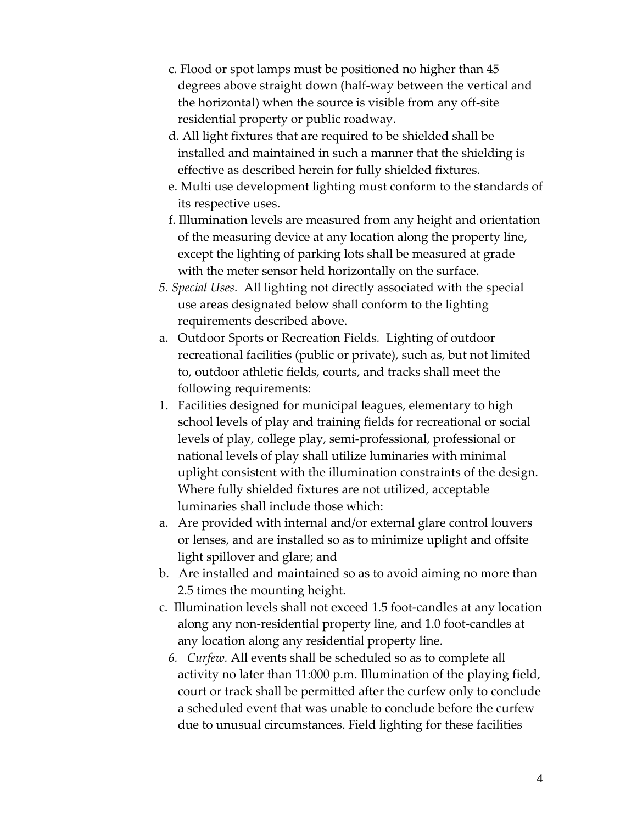- c. Flood or spot lamps must be positioned no higher than 45 degrees above straight down (half‐way between the vertical and the horizontal) when the source is visible from any off‐site residential property or public roadway.
- d. All light fixtures that are required to be shielded shall be installed and maintained in such a manner that the shielding is effective as described herein for fully shielded fixtures.
- e. Multi use development lighting must conform to the standards of its respective uses.
- f. Illumination levels are measured from any height and orientation of the measuring device at any location along the property line, except the lighting of parking lots shall be measured at grade with the meter sensor held horizontally on the surface.
- *5. Special Uses.* All lighting not directly associated with the special use areas designated below shall conform to the lighting requirements described above.
- a. Outdoor Sports or Recreation Fields*.* Lighting of outdoor recreational facilities (public or private), such as, but not limited to, outdoor athletic fields, courts, and tracks shall meet the following requirements:
- 1. Facilities designed for municipal leagues, elementary to high school levels of play and training fields for recreational or social levels of play, college play, semi‐professional, professional or national levels of play shall utilize luminaries with minimal uplight consistent with the illumination constraints of the design. Where fully shielded fixtures are not utilized, acceptable luminaries shall include those which:
- a. Are provided with internal and/or external glare control louvers or lenses, and are installed so as to minimize uplight and offsite light spillover and glare; and
- b. Are installed and maintained so as to avoid aiming no more than 2.5 times the mounting height.
- c. Illumination levels shall not exceed 1.5 foot‐candles at any location along any non‐residential property line, and 1.0 foot‐candles at any location along any residential property line.
	- *6. Curfew.* All events shall be scheduled so as to complete all activity no later than 11:000 p.m. Illumination of the playing field, court or track shall be permitted after the curfew only to conclude a scheduled event that was unable to conclude before the curfew due to unusual circumstances. Field lighting for these facilities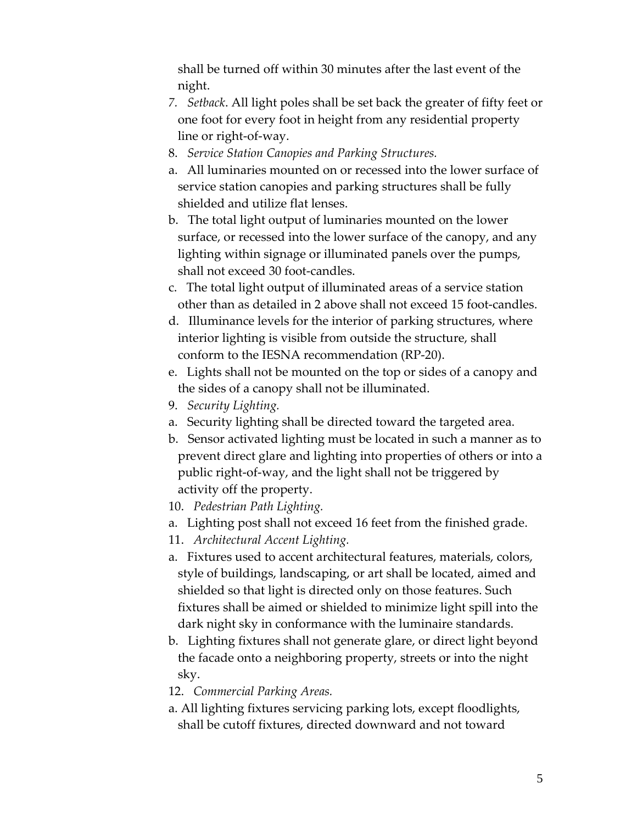shall be turned off within 30 minutes after the last event of the night.

- *7. Setback*. All light poles shall be set back the greater of fifty feet or one foot for every foot in height from any residential property line or right‐of‐way.
- 8. *Service Station Canopies and Parking Structures.*
- a. All luminaries mounted on or recessed into the lower surface of service station canopies and parking structures shall be fully shielded and utilize flat lenses.
- b. The total light output of luminaries mounted on the lower surface, or recessed into the lower surface of the canopy, and any lighting within signage or illuminated panels over the pumps, shall not exceed 30 foot‐candles.
- c. The total light output of illuminated areas of a service station other than as detailed in 2 above shall not exceed 15 foot‐candles.
- d. Illuminance levels for the interior of parking structures, where interior lighting is visible from outside the structure, shall conform to the IESNA recommendation (RP‐20).
- e. Lights shall not be mounted on the top or sides of a canopy and the sides of a canopy shall not be illuminated.
- 9. *Security Lighting.*
- a. Security lighting shall be directed toward the targeted area.
- b. Sensor activated lighting must be located in such a manner as to prevent direct glare and lighting into properties of others or into a public right‐of‐way, and the light shall not be triggered by activity off the property.
- 10. *Pedestrian Path Lighting.*
- a. Lighting post shall not exceed 16 feet from the finished grade.
- 11. *Architectural Accent Lighting.*
- a. Fixtures used to accent architectural features, materials, colors, style of buildings, landscaping, or art shall be located, aimed and shielded so that light is directed only on those features. Such fixtures shall be aimed or shielded to minimize light spill into the dark night sky in conformance with the luminaire standards.
- b. Lighting fixtures shall not generate glare, or direct light beyond the facade onto a neighboring property, streets or into the night sky.
- 12. *Commercial Parking Areas.*
- a. All lighting fixtures servicing parking lots, except floodlights, shall be cutoff fixtures, directed downward and not toward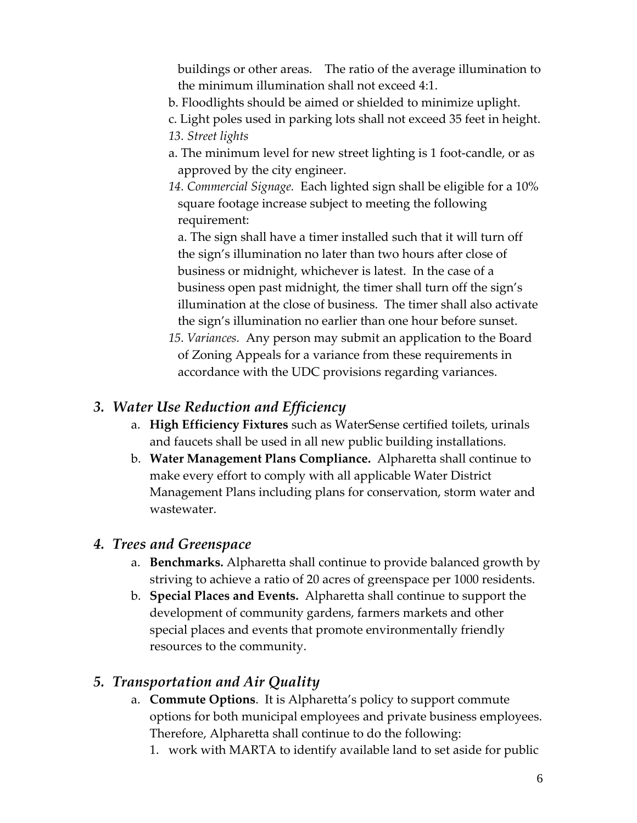buildings or other areas. The ratio of the average illumination to the minimum illumination shall not exceed 4:1.

- b. Floodlights should be aimed or shielded to minimize uplight.
- c. Light poles used in parking lots shall not exceed 35 feet in height.
- *13. Street lights*
- a. The minimum level for new street lighting is 1 foot‐candle, or as approved by the city engineer.
- *14. Commercial Signage.* Each lighted sign shall be eligible for a 10% square footage increase subject to meeting the following requirement:

 a. The sign shall have a timer installed such that it will turn off the sign's illumination no later than two hours after close of business or midnight, whichever is latest. In the case of a business open past midnight, the timer shall turn off the sign's illumination at the close of business. The timer shall also activate the sign's illumination no earlier than one hour before sunset.

*15. Variances.* Any person may submit an application to the Board of Zoning Appeals for a variance from these requirements in accordance with the UDC provisions regarding variances.

# *3. Water Use Reduction and Efficiency*

- a. **High Efficiency Fixtures** such as WaterSense certified toilets, urinals and faucets shall be used in all new public building installations.
- b. **Water Management Plans Compliance.** Alpharetta shall continue to make every effort to comply with all applicable Water District Management Plans including plans for conservation, storm water and wastewater.

# *4. Trees and Greenspace*

- a. **Benchmarks.** Alpharetta shall continue to provide balanced growth by striving to achieve a ratio of 20 acres of greenspace per 1000 residents.
- b. **Special Places and Events.** Alpharetta shall continue to support the development of community gardens, farmers markets and other special places and events that promote environmentally friendly resources to the community.

# *5. Transportation and Air Quality*

- a. **Commute Options**. It is Alpharetta's policy to support commute options for both municipal employees and private business employees. Therefore, Alpharetta shall continue to do the following:
	- 1. work with MARTA to identify available land to set aside for public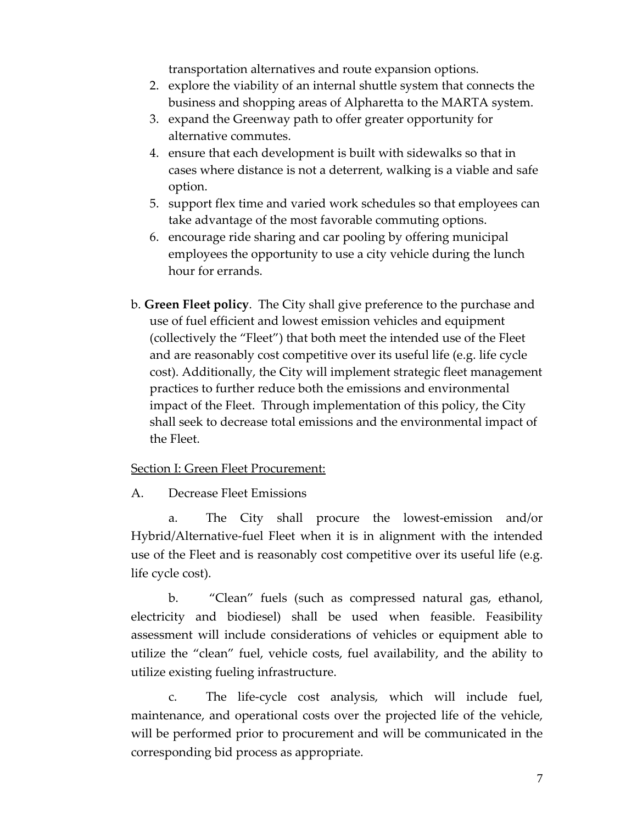transportation alternatives and route expansion options.

- 2. explore the viability of an internal shuttle system that connects the business and shopping areas of Alpharetta to the MARTA system.
- 3. expand the Greenway path to offer greater opportunity for alternative commutes.
- 4. ensure that each development is built with sidewalks so that in cases where distance is not a deterrent, walking is a viable and safe option.
- 5. support flex time and varied work schedules so that employees can take advantage of the most favorable commuting options.
- 6. encourage ride sharing and car pooling by offering municipal employees the opportunity to use a city vehicle during the lunch hour for errands.
- b. **Green Fleet policy**. The City shall give preference to the purchase and use of fuel efficient and lowest emission vehicles and equipment (collectively the "Fleet") that both meet the intended use of the Fleet and are reasonably cost competitive over its useful life (e.g. life cycle cost). Additionally, the City will implement strategic fleet management practices to further reduce both the emissions and environmental impact of the Fleet. Through implementation of this policy, the City shall seek to decrease total emissions and the environmental impact of the Fleet.

#### Section I: Green Fleet Procurement:

A. Decrease Fleet Emissions

a. The City shall procure the lowest-emission and/or Hybrid/Alternative‐fuel Fleet when it is in alignment with the intended use of the Fleet and is reasonably cost competitive over its useful life (e.g. life cycle cost).

b. "Clean" fuels (such as compressed natural gas, ethanol, electricity and biodiesel) shall be used when feasible. Feasibility assessment will include considerations of vehicles or equipment able to utilize the "clean" fuel, vehicle costs, fuel availability, and the ability to utilize existing fueling infrastructure.

c. The life‐cycle cost analysis, which will include fuel, maintenance, and operational costs over the projected life of the vehicle, will be performed prior to procurement and will be communicated in the corresponding bid process as appropriate.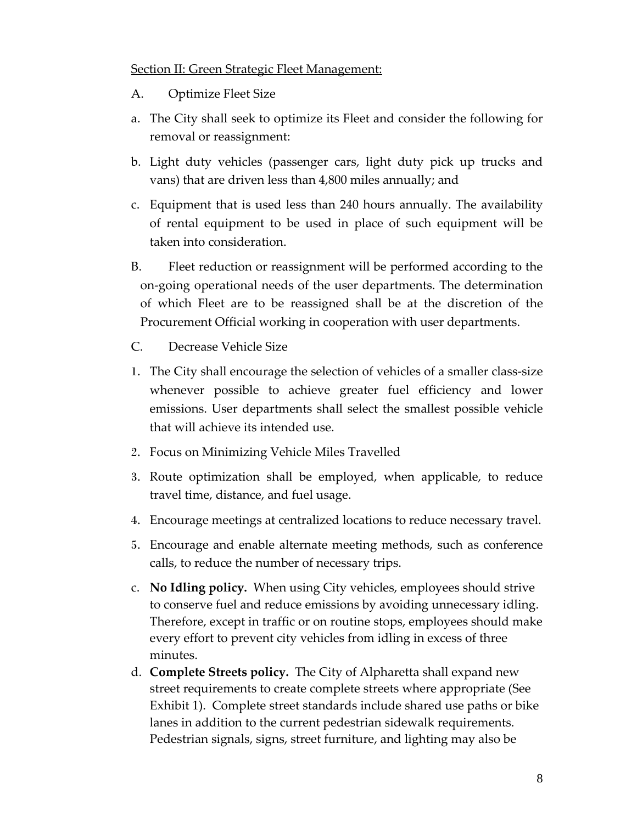#### Section II: Green Strategic Fleet Management:

- A. Optimize Fleet Size
- a. The City shall seek to optimize its Fleet and consider the following for removal or reassignment:
- b. Light duty vehicles (passenger cars, light duty pick up trucks and vans) that are driven less than 4,800 miles annually; and
- c. Equipment that is used less than 240 hours annually. The availability of rental equipment to be used in place of such equipment will be taken into consideration.
- B. Fleet reduction or reassignment will be performed according to the on‐going operational needs of the user departments. The determination of which Fleet are to be reassigned shall be at the discretion of the Procurement Official working in cooperation with user departments.
- C. Decrease Vehicle Size
- 1. The City shall encourage the selection of vehicles of a smaller class‐size whenever possible to achieve greater fuel efficiency and lower emissions. User departments shall select the smallest possible vehicle that will achieve its intended use.
- 2. Focus on Minimizing Vehicle Miles Travelled
- 3. Route optimization shall be employed, when applicable, to reduce travel time, distance, and fuel usage.
- 4. Encourage meetings at centralized locations to reduce necessary travel.
- 5. Encourage and enable alternate meeting methods, such as conference calls, to reduce the number of necessary trips.
- c. **No Idling policy.** When using City vehicles, employees should strive to conserve fuel and reduce emissions by avoiding unnecessary idling. Therefore, except in traffic or on routine stops, employees should make every effort to prevent city vehicles from idling in excess of three minutes.
- d. **Complete Streets policy.** The City of Alpharetta shall expand new street requirements to create complete streets where appropriate (See Exhibit 1). Complete street standards include shared use paths or bike lanes in addition to the current pedestrian sidewalk requirements. Pedestrian signals, signs, street furniture, and lighting may also be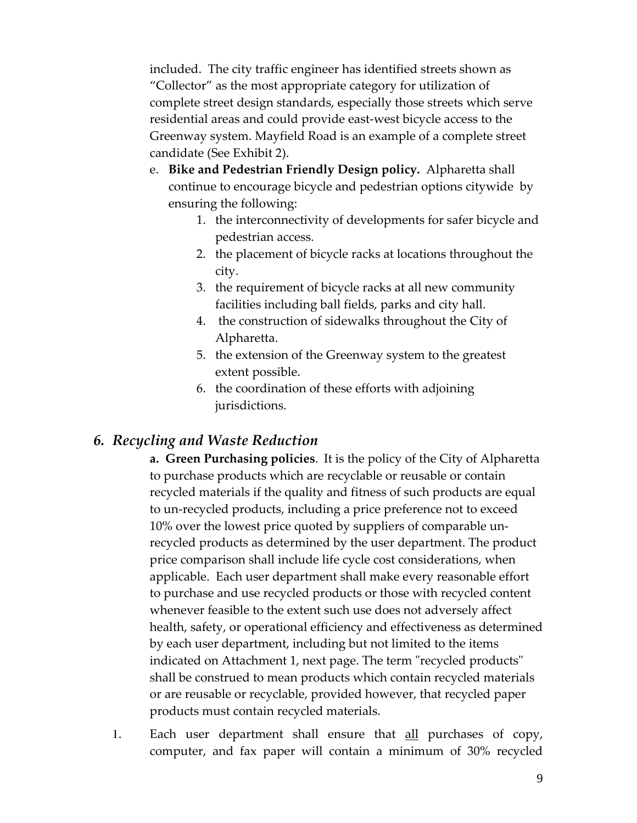included. The city traffic engineer has identified streets shown as "Collector" as the most appropriate category for utilization of complete street design standards, especially those streets which serve residential areas and could provide east‐west bicycle access to the Greenway system. Mayfield Road is an example of a complete street candidate (See Exhibit 2).

- e. **Bike and Pedestrian Friendly Design policy.** Alpharetta shall continue to encourage bicycle and pedestrian options citywide by ensuring the following:
	- 1. the interconnectivity of developments for safer bicycle and pedestrian access.
	- 2. the placement of bicycle racks at locations throughout the city.
	- 3. the requirement of bicycle racks at all new community facilities including ball fields, parks and city hall.
	- 4. the construction of sidewalks throughout the City of Alpharetta.
	- 5. the extension of the Greenway system to the greatest extent possible.
	- 6. the coordination of these efforts with adjoining jurisdictions.

# *6. Recycling and Waste Reduction*

**a. Green Purchasing policies**. It is the policy of the City of Alpharetta to purchase products which are recyclable or reusable or contain recycled materials if the quality and fitness of such products are equal to un‐recycled products, including a price preference not to exceed 10% over the lowest price quoted by suppliers of comparable un‐ recycled products as determined by the user department. The product price comparison shall include life cycle cost considerations, when applicable. Each user department shall make every reasonable effort to purchase and use recycled products or those with recycled content whenever feasible to the extent such use does not adversely affect health, safety, or operational efficiency and effectiveness as determined by each user department, including but not limited to the items indicated on Attachment 1, next page. The term "recycled products" shall be construed to mean products which contain recycled materials or are reusable or recyclable, provided however, that recycled paper products must contain recycled materials.

1. Each user department shall ensure that all purchases of copy, computer, and fax paper will contain a minimum of 30% recycled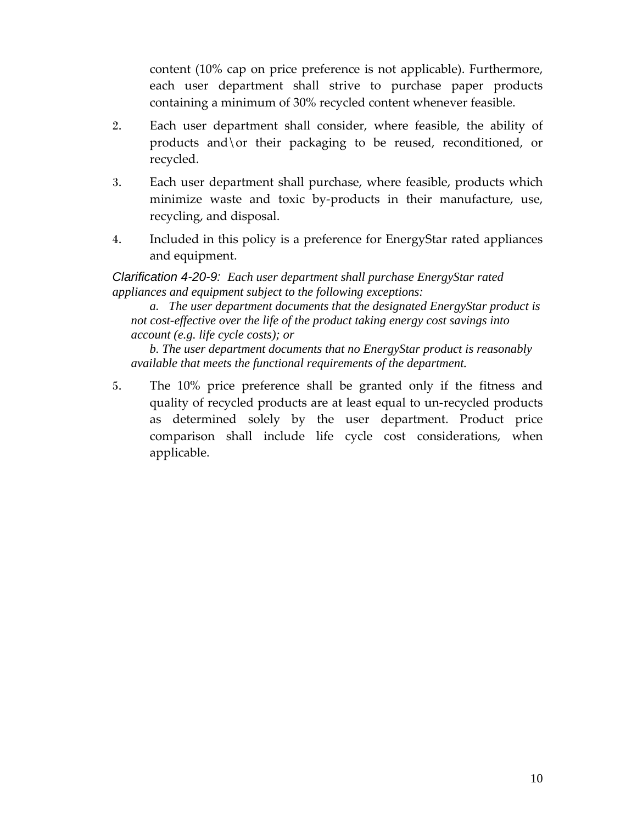content (10% cap on price preference is not applicable). Furthermore, each user department shall strive to purchase paper products containing a minimum of 30% recycled content whenever feasible.

- 2. Each user department shall consider, where feasible, the ability of products and\or their packaging to be reused, reconditioned, or recycled.
- 3. Each user department shall purchase, where feasible, products which minimize waste and toxic by-products in their manufacture, use, recycling, and disposal.
- 4. Included in this policy is a preference for EnergyStar rated appliances and equipment.

*Clarification 4-20-9: Each user department shall purchase EnergyStar rated appliances and equipment subject to the following exceptions:* 

*a. The user department documents that the designated EnergyStar product is not cost-effective over the life of the product taking energy cost savings into account (e.g. life cycle costs); or* 

*b. The user department documents that no EnergyStar product is reasonably available that meets the functional requirements of the department.* 

5. The 10% price preference shall be granted only if the fitness and quality of recycled products are at least equal to un‐recycled products as determined solely by the user department. Product price comparison shall include life cycle cost considerations, when applicable.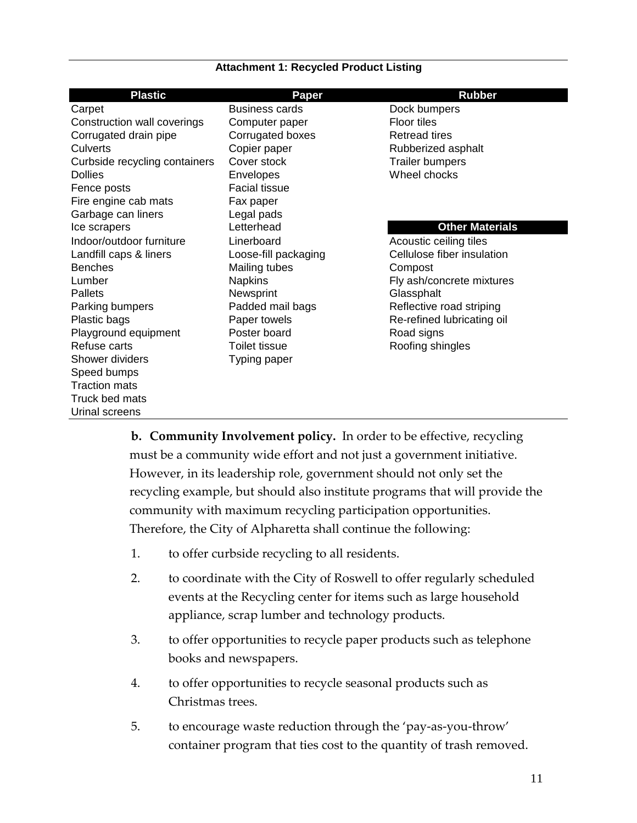#### **Attachment 1: Recycled Product Listing**

| <b>Business cards</b><br>Dock bumpers<br><b>Floor tiles</b><br>Computer paper<br>Corrugated boxes<br><b>Retread tires</b><br>Copier paper<br>Rubberized asphalt<br>Cover stock<br><b>Trailer bumpers</b><br>Wheel chocks<br>Envelopes<br><b>Facial tissue</b><br>Fire engine cab mats<br>Fax paper<br>Garbage can liners<br>Legal pads<br>Letterhead<br><b>Other Materials</b><br>Ice scrapers<br>Indoor/outdoor furniture<br>Linerboard<br>Acoustic ceiling tiles<br>Cellulose fiber insulation<br>Loose-fill packaging<br>Mailing tubes<br>Compost<br><b>Napkins</b><br>Fly ash/concrete mixtures<br>Newsprint<br>Glassphalt<br>Padded mail bags<br>Reflective road striping<br>Plastic bags<br>Paper towels<br>Re-refined lubricating oil<br>Poster board<br>Playground equipment<br>Road signs<br>Roofing shingles<br>Toilet tissue<br>Shower dividers<br>Typing paper<br>Speed bumps<br><b>Traction mats</b><br>Truck bed mats<br>Urinal screens | <b>Plastic</b>                | <b>Paper</b> | <b>Rubber</b> |
|-------------------------------------------------------------------------------------------------------------------------------------------------------------------------------------------------------------------------------------------------------------------------------------------------------------------------------------------------------------------------------------------------------------------------------------------------------------------------------------------------------------------------------------------------------------------------------------------------------------------------------------------------------------------------------------------------------------------------------------------------------------------------------------------------------------------------------------------------------------------------------------------------------------------------------------------------------|-------------------------------|--------------|---------------|
|                                                                                                                                                                                                                                                                                                                                                                                                                                                                                                                                                                                                                                                                                                                                                                                                                                                                                                                                                       | Carpet                        |              |               |
|                                                                                                                                                                                                                                                                                                                                                                                                                                                                                                                                                                                                                                                                                                                                                                                                                                                                                                                                                       | Construction wall coverings   |              |               |
|                                                                                                                                                                                                                                                                                                                                                                                                                                                                                                                                                                                                                                                                                                                                                                                                                                                                                                                                                       | Corrugated drain pipe         |              |               |
|                                                                                                                                                                                                                                                                                                                                                                                                                                                                                                                                                                                                                                                                                                                                                                                                                                                                                                                                                       | Culverts                      |              |               |
|                                                                                                                                                                                                                                                                                                                                                                                                                                                                                                                                                                                                                                                                                                                                                                                                                                                                                                                                                       | Curbside recycling containers |              |               |
|                                                                                                                                                                                                                                                                                                                                                                                                                                                                                                                                                                                                                                                                                                                                                                                                                                                                                                                                                       | <b>Dollies</b>                |              |               |
|                                                                                                                                                                                                                                                                                                                                                                                                                                                                                                                                                                                                                                                                                                                                                                                                                                                                                                                                                       | Fence posts                   |              |               |
|                                                                                                                                                                                                                                                                                                                                                                                                                                                                                                                                                                                                                                                                                                                                                                                                                                                                                                                                                       |                               |              |               |
|                                                                                                                                                                                                                                                                                                                                                                                                                                                                                                                                                                                                                                                                                                                                                                                                                                                                                                                                                       |                               |              |               |
|                                                                                                                                                                                                                                                                                                                                                                                                                                                                                                                                                                                                                                                                                                                                                                                                                                                                                                                                                       |                               |              |               |
|                                                                                                                                                                                                                                                                                                                                                                                                                                                                                                                                                                                                                                                                                                                                                                                                                                                                                                                                                       |                               |              |               |
|                                                                                                                                                                                                                                                                                                                                                                                                                                                                                                                                                                                                                                                                                                                                                                                                                                                                                                                                                       | Landfill caps & liners        |              |               |
|                                                                                                                                                                                                                                                                                                                                                                                                                                                                                                                                                                                                                                                                                                                                                                                                                                                                                                                                                       | <b>Benches</b>                |              |               |
|                                                                                                                                                                                                                                                                                                                                                                                                                                                                                                                                                                                                                                                                                                                                                                                                                                                                                                                                                       | Lumber                        |              |               |
|                                                                                                                                                                                                                                                                                                                                                                                                                                                                                                                                                                                                                                                                                                                                                                                                                                                                                                                                                       | Pallets                       |              |               |
|                                                                                                                                                                                                                                                                                                                                                                                                                                                                                                                                                                                                                                                                                                                                                                                                                                                                                                                                                       | Parking bumpers               |              |               |
|                                                                                                                                                                                                                                                                                                                                                                                                                                                                                                                                                                                                                                                                                                                                                                                                                                                                                                                                                       |                               |              |               |
|                                                                                                                                                                                                                                                                                                                                                                                                                                                                                                                                                                                                                                                                                                                                                                                                                                                                                                                                                       |                               |              |               |
|                                                                                                                                                                                                                                                                                                                                                                                                                                                                                                                                                                                                                                                                                                                                                                                                                                                                                                                                                       | Refuse carts                  |              |               |
|                                                                                                                                                                                                                                                                                                                                                                                                                                                                                                                                                                                                                                                                                                                                                                                                                                                                                                                                                       |                               |              |               |
|                                                                                                                                                                                                                                                                                                                                                                                                                                                                                                                                                                                                                                                                                                                                                                                                                                                                                                                                                       |                               |              |               |
|                                                                                                                                                                                                                                                                                                                                                                                                                                                                                                                                                                                                                                                                                                                                                                                                                                                                                                                                                       |                               |              |               |
|                                                                                                                                                                                                                                                                                                                                                                                                                                                                                                                                                                                                                                                                                                                                                                                                                                                                                                                                                       |                               |              |               |
|                                                                                                                                                                                                                                                                                                                                                                                                                                                                                                                                                                                                                                                                                                                                                                                                                                                                                                                                                       |                               |              |               |

**b. Community Involvement policy.** In order to be effective, recycling must be a community wide effort and not just a government initiative. However, in its leadership role, government should not only set the recycling example, but should also institute programs that will provide the community with maximum recycling participation opportunities. Therefore, the City of Alpharetta shall continue the following:

- 1. to offer curbside recycling to all residents.
- 2. to coordinate with the City of Roswell to offer regularly scheduled events at the Recycling center for items such as large household appliance, scrap lumber and technology products.
- 3. to offer opportunities to recycle paper products such as telephone books and newspapers.
- 4. to offer opportunities to recycle seasonal products such as Christmas trees.
- 5. to encourage waste reduction through the 'pay-as-you-throw' container program that ties cost to the quantity of trash removed.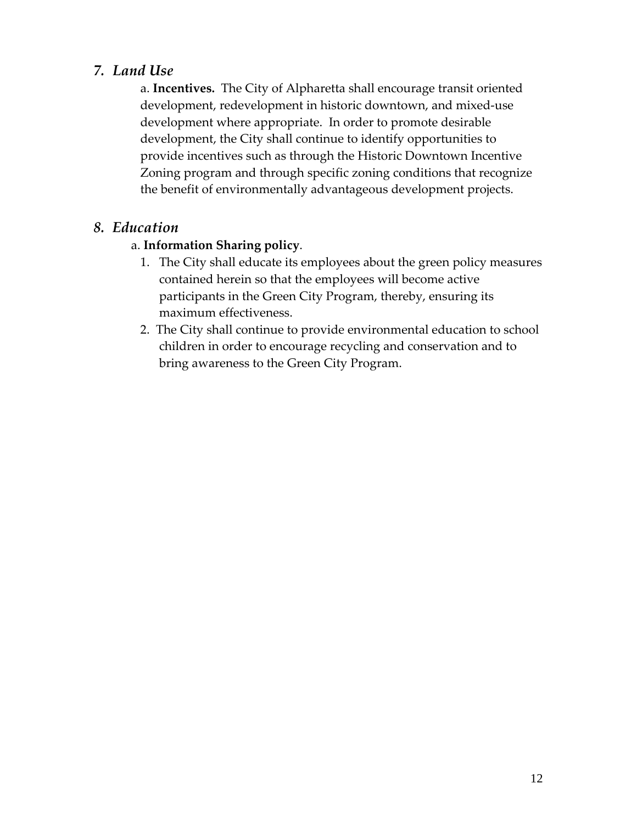# *7. Land Use*

a. **Incentives.** The City of Alpharetta shall encourage transit oriented development, redevelopment in historic downtown, and mixed‐use development where appropriate. In order to promote desirable development, the City shall continue to identify opportunities to provide incentives such as through the Historic Downtown Incentive Zoning program and through specific zoning conditions that recognize the benefit of environmentally advantageous development projects.

# *8. Education*

## a. **Information Sharing policy**.

- 1. The City shall educate its employees about the green policy measures contained herein so that the employees will become active participants in the Green City Program, thereby, ensuring its maximum effectiveness.
- 2. The City shall continue to provide environmental education to school children in order to encourage recycling and conservation and to bring awareness to the Green City Program.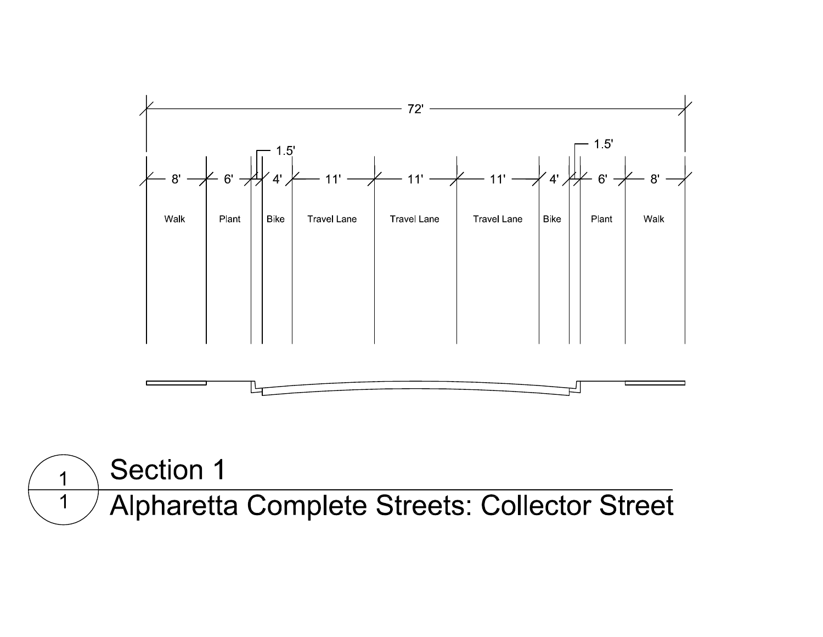